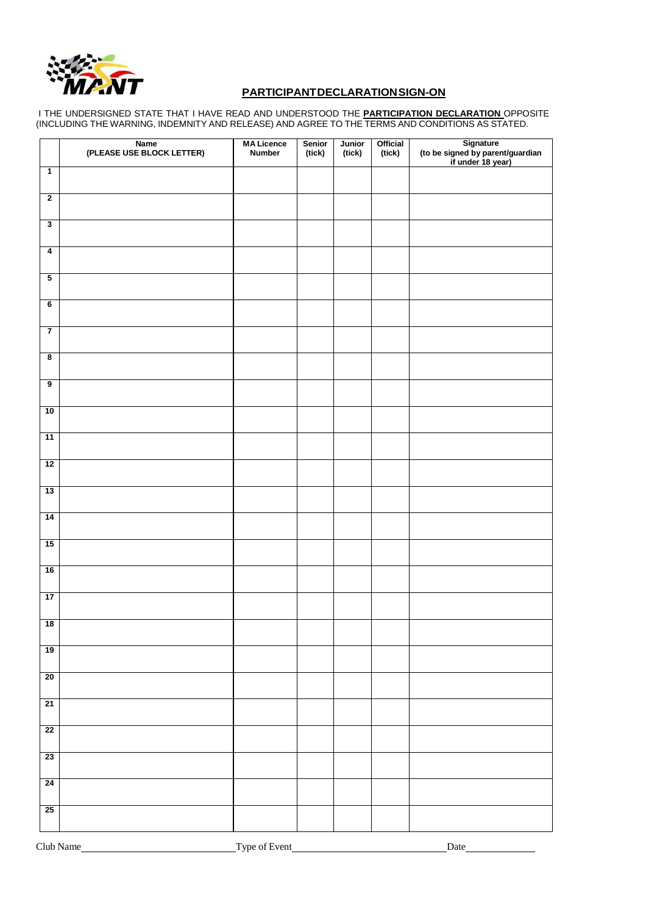

# **PARTICIPANT DECLARATION SIGN-ON**

I THE UNDERSIGNED STATE THAT I HAVE READ AND UNDERSTOOD THE **PARTICIPATION DECLARATION** OPPOSITE (INCLUDING THE WARNING, INDEMNITY AND RELEASE) AND AGREE TO THE TERMS AND CONDITIONS AS STATED.

|                         | Name<br>(PLEASE USE BLOCK LETTER) | <b>MA Licence</b><br><b>Number</b> | Senior<br>(tick) | Junior<br>(tick) | Official<br>(tick) | Signature<br>(to be signed by parent/guardian<br>if under 18 year) |
|-------------------------|-----------------------------------|------------------------------------|------------------|------------------|--------------------|--------------------------------------------------------------------|
| $\overline{1}$          |                                   |                                    |                  |                  |                    |                                                                    |
| $\overline{2}$          |                                   |                                    |                  |                  |                    |                                                                    |
| $\overline{\mathbf{3}}$ |                                   |                                    |                  |                  |                    |                                                                    |
| $\overline{4}$          |                                   |                                    |                  |                  |                    |                                                                    |
| $\overline{\mathbf{5}}$ |                                   |                                    |                  |                  |                    |                                                                    |
| $\overline{\mathbf{6}}$ |                                   |                                    |                  |                  |                    |                                                                    |
| $\overline{7}$          |                                   |                                    |                  |                  |                    |                                                                    |
| $\overline{\mathbf{8}}$ |                                   |                                    |                  |                  |                    |                                                                    |
| $\overline{9}$          |                                   |                                    |                  |                  |                    |                                                                    |
| 10                      |                                   |                                    |                  |                  |                    |                                                                    |
| 11                      |                                   |                                    |                  |                  |                    |                                                                    |
| 12                      |                                   |                                    |                  |                  |                    |                                                                    |
| 13                      |                                   |                                    |                  |                  |                    |                                                                    |
| 14                      |                                   |                                    |                  |                  |                    |                                                                    |
| 15                      |                                   |                                    |                  |                  |                    |                                                                    |
| 16                      |                                   |                                    |                  |                  |                    |                                                                    |
| 17                      |                                   |                                    |                  |                  |                    |                                                                    |
| 18                      |                                   |                                    |                  |                  |                    |                                                                    |
| $\overline{19}$         |                                   |                                    |                  |                  |                    |                                                                    |
| 20                      |                                   |                                    |                  |                  |                    |                                                                    |
| 21                      |                                   |                                    |                  |                  |                    |                                                                    |
| 22                      |                                   |                                    |                  |                  |                    |                                                                    |
| 23                      |                                   |                                    |                  |                  |                    |                                                                    |
| 24                      |                                   |                                    |                  |                  |                    |                                                                    |
| 25                      |                                   |                                    |                  |                  |                    |                                                                    |